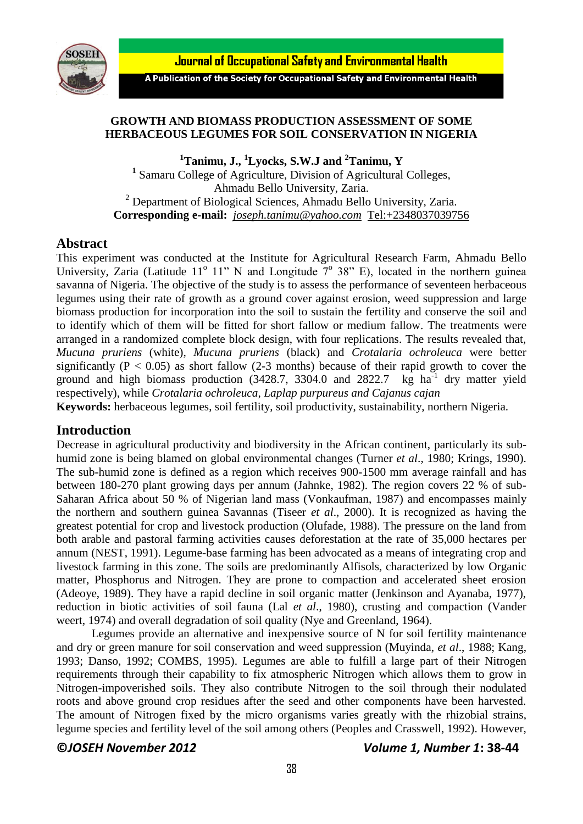

Journal of Occupational Safety and Environmental Health

A Publication of the Society for Occupational Safety and Environmental Health

# **GROWTH AND BIOMASS PRODUCTION ASSESSMENT OF SOME HERBACEOUS LEGUMES FOR SOIL CONSERVATION IN NIGERIA**

**<sup>1</sup>Tanimu, J., <sup>1</sup>Lyocks, S.W.J and <sup>2</sup>Tanimu, Y 1** Samaru College of Agriculture, Division of Agricultural Colleges, Ahmadu Bello University, Zaria. <sup>2</sup> Department of Biological Sciences, Ahmadu Bello University, Zaria. **Corresponding e-mail:** *[joseph.tanimu@yahoo.com](mailto:joseph.tanimu@yahoo.com)* <Tel:+2348037039756>

## **Abstract**

This experiment was conducted at the Institute for Agricultural Research Farm, Ahmadu Bello University, Zaria (Latitude 11<sup>°</sup> 11" N and Longitude  $7^\circ$  38" E), located in the northern guinea savanna of Nigeria. The objective of the study is to assess the performance of seventeen herbaceous legumes using their rate of growth as a ground cover against erosion, weed suppression and large biomass production for incorporation into the soil to sustain the fertility and conserve the soil and to identify which of them will be fitted for short fallow or medium fallow. The treatments were arranged in a randomized complete block design, with four replications. The results revealed that, *Mucuna pruriens* (white), *Mucuna pruriens* (black) and *Crotalaria ochroleuca* were better significantly ( $P < 0.05$ ) as short fallow (2-3 months) because of their rapid growth to cover the ground and high biomass production  $(3428.7, 3304.0,$  and  $2822.7$  kg ha<sup>-1</sup> dry matter yield respectively), while *Crotalaria ochroleuca, Laplap purpureus and Cajanus cajan* 

**Keywords:** herbaceous legumes, soil fertility, soil productivity, sustainability, northern Nigeria.

## **Introduction**

Decrease in agricultural productivity and biodiversity in the African continent, particularly its subhumid zone is being blamed on global environmental changes (Turner *et al*., 1980; Krings, 1990). The sub-humid zone is defined as a region which receives 900-1500 mm average rainfall and has between 180-270 plant growing days per annum (Jahnke, 1982). The region covers 22 % of sub-Saharan Africa about 50 % of Nigerian land mass (Vonkaufman, 1987) and encompasses mainly the northern and southern guinea Savannas (Tiseer *et al*., 2000). It is recognized as having the greatest potential for crop and livestock production (Olufade, 1988). The pressure on the land from both arable and pastoral farming activities causes deforestation at the rate of 35,000 hectares per annum (NEST, 1991). Legume-base farming has been advocated as a means of integrating crop and livestock farming in this zone. The soils are predominantly Alfisols, characterized by low Organic matter, Phosphorus and Nitrogen. They are prone to compaction and accelerated sheet erosion (Adeoye, 1989). They have a rapid decline in soil organic matter (Jenkinson and Ayanaba, 1977), reduction in biotic activities of soil fauna (Lal *et al*., 1980), crusting and compaction (Vander weert, 1974) and overall degradation of soil quality (Nye and Greenland, 1964).

Legumes provide an alternative and inexpensive source of N for soil fertility maintenance and dry or green manure for soil conservation and weed suppression (Muyinda, *et al*., 1988; Kang, 1993; Danso, 1992; COMBS, 1995). Legumes are able to fulfill a large part of their Nitrogen requirements through their capability to fix atmospheric Nitrogen which allows them to grow in Nitrogen-impoverished soils. They also contribute Nitrogen to the soil through their nodulated roots and above ground crop residues after the seed and other components have been harvested. The amount of Nitrogen fixed by the micro organisms varies greatly with the rhizobial strains, legume species and fertility level of the soil among others (Peoples and Crasswell, 1992). However,

#### **©***JOSEH November 2012 Volume 1, Number 1***: 38-44**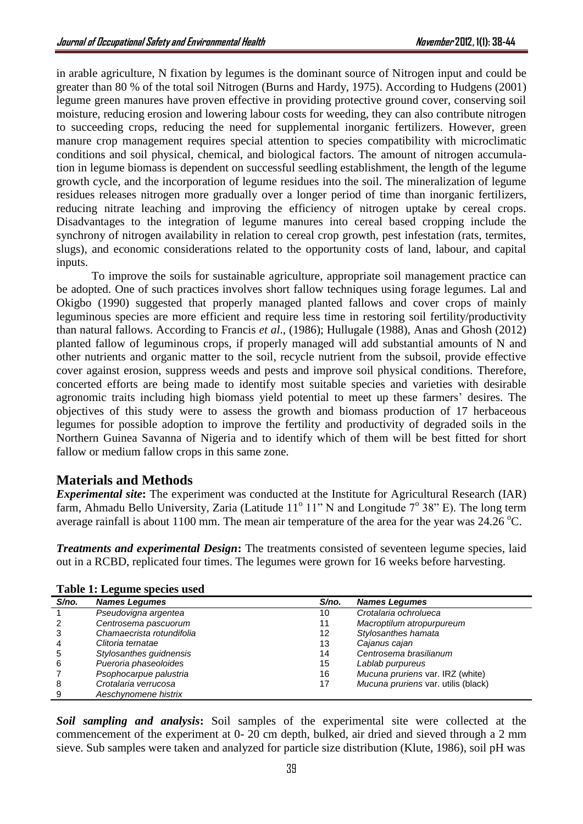in arable agriculture, N fixation by legumes is the dominant source of Nitrogen input and could be greater than 80 % of the total soil Nitrogen (Burns and Hardy, 1975). According to Hudgens (2001) legume green manures have proven effective in providing protective ground cover, conserving soil moisture, reducing erosion and lowering labour costs for weeding, they can also contribute nitrogen to succeeding crops, reducing the need for supplemental inorganic fertilizers. However, green manure crop management requires special attention to species compatibility with microclimatic conditions and soil physical, chemical, and biological factors. The amount of nitrogen accumulation in legume biomass is dependent on successful seedling establishment, the length of the legume growth cycle, and the incorporation of legume residues into the soil. The mineralization of legume residues releases nitrogen more gradually over a longer period of time than inorganic fertilizers, reducing nitrate leaching and improving the efficiency of nitrogen uptake by cereal crops. Disadvantages to the integration of legume manures into cereal based cropping include the synchrony of nitrogen availability in relation to cereal crop growth, pest infestation (rats, termites, slugs), and economic considerations related to the opportunity costs of land, labour, and capital inputs.

To improve the soils for sustainable agriculture, appropriate soil management practice can be adopted. One of such practices involves short fallow techniques using forage legumes. Lal and Okigbo (1990) suggested that properly managed planted fallows and cover crops of mainly leguminous species are more efficient and require less time in restoring soil fertility/productivity than natural fallows. According to Francis *et al*., (1986); Hullugale (1988), Anas and Ghosh (2012) planted fallow of leguminous crops, if properly managed will add substantial amounts of N and other nutrients and organic matter to the soil, recycle nutrient from the subsoil, provide effective cover against erosion, suppress weeds and pests and improve soil physical conditions. Therefore, concerted efforts are being made to identify most suitable species and varieties with desirable agronomic traits including high biomass yield potential to meet up these farmers' desires. The objectives of this study were to assess the growth and biomass production of 17 herbaceous legumes for possible adoption to improve the fertility and productivity of degraded soils in the Northern Guinea Savanna of Nigeria and to identify which of them will be best fitted for short fallow or medium fallow crops in this same zone.

# **Materials and Methods**

**Experimental site:** The experiment was conducted at the Institute for Agricultural Research (IAR) farm, Ahmadu Bello University, Zaria (Latitude  $11^{\circ}$  11" N and Longitude  $7^{\circ}$  38" E). The long term average rainfall is about 1100 mm. The mean air temperature of the area for the year was  $24.26 \degree C$ .

*Treatments and experimental Design***:** The treatments consisted of seventeen legume species, laid out in a RCBD, replicated four times. The legumes were grown for 16 weeks before harvesting.

| S/no. | <b>Names Legumes</b>      | S/no. | <b>Names Legumes</b>                |
|-------|---------------------------|-------|-------------------------------------|
|       | Pseudovigna argentea      | 10    | Crotalaria ochrolueca               |
|       | Centrosema pascuorum      | 11    | Macroptilum atropurpureum           |
|       | Chamaecrista rotundifolia | 12    | Stylosanthes hamata                 |
|       | Clitoria ternatae         | 13    | Cajanus cajan                       |
| 5     | Stylosanthes guidnensis   | 14    | Centrosema brasilianum              |
| 6     | Pueroria phaseoloides     | 15    | Lablab purpureus                    |
|       | Psophocarpue palustria    | 16    | Mucuna pruriens var. IRZ (white)    |
| 8     | Crotalaria verrucosa      | 17    | Mucuna pruriens var. utilis (black) |
| 9     | Aeschynomene histrix      |       |                                     |

**Table 1: Legume species used**

*Soil sampling and analysis***:** Soil samples of the experimental site were collected at the commencement of the experiment at 0- 20 cm depth, bulked, air dried and sieved through a 2 mm sieve. Sub samples were taken and analyzed for particle size distribution (Klute, 1986), soil pH was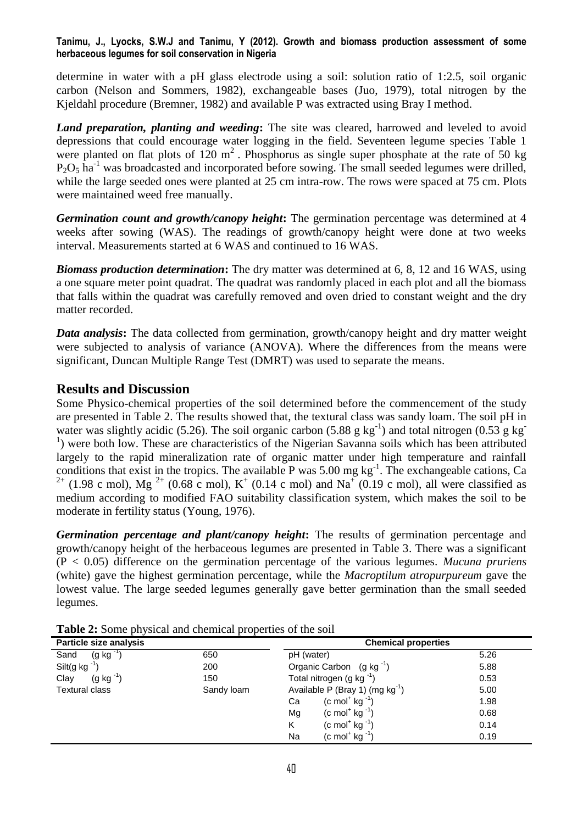#### **Tanimu, J., Lyocks, S.W.J and Tanimu, Y (2012). Growth and biomass production assessment of some herbaceous legumes for soil conservation in Nigeria**

determine in water with a pH glass electrode using a soil: solution ratio of 1:2.5, soil organic carbon (Nelson and Sommers, 1982), exchangeable bases (Juo, 1979), total nitrogen by the Kjeldahl procedure (Bremner, 1982) and available P was extracted using Bray I method.

*Land preparation, planting and weeding***:** The site was cleared, harrowed and leveled to avoid depressions that could encourage water logging in the field. Seventeen legume species Table 1 were planted on flat plots of  $120 \text{ m}^2$ . Phosphorus as single super phosphate at the rate of 50 kg  $P_2O_5$  ha<sup>-1</sup> was broadcasted and incorporated before sowing. The small seeded legumes were drilled, while the large seeded ones were planted at 25 cm intra-row. The rows were spaced at 75 cm. Plots were maintained weed free manually.

*Germination count and growth/canopy height***:** The germination percentage was determined at 4 weeks after sowing (WAS). The readings of growth/canopy height were done at two weeks interval. Measurements started at 6 WAS and continued to 16 WAS.

*Biomass production determination***:** The dry matter was determined at 6, 8, 12 and 16 WAS, using a one square meter point quadrat. The quadrat was randomly placed in each plot and all the biomass that falls within the quadrat was carefully removed and oven dried to constant weight and the dry matter recorded.

*Data analysis***:** The data collected from germination, growth/canopy height and dry matter weight were subjected to analysis of variance (ANOVA). Where the differences from the means were significant, Duncan Multiple Range Test (DMRT) was used to separate the means.

# **Results and Discussion**

Some Physico-chemical properties of the soil determined before the commencement of the study are presented in Table 2. The results showed that, the textural class was sandy loam. The soil pH in water was slightly acidic (5.26). The soil organic carbon (5.88 g kg<sup>-1</sup>) and total nitrogen (0.53 g kg<sup>-1</sup>) <sup>1</sup>) were both low. These are characteristics of the Nigerian Savanna soils which has been attributed largely to the rapid mineralization rate of organic matter under high temperature and rainfall conditions that exist in the tropics. The available P was  $5.00$  mg kg<sup>-1</sup>. The exchangeable cations, Ca <sup>2+</sup> (1.98 c mol), Mg<sup>2+</sup> (0.68 c mol), K<sup>+</sup> (0.14 c mol) and Na<sup>+</sup> (0.19 c mol), all were classified as medium according to modified FAO suitability classification system, which makes the soil to be moderate in fertility status (Young, 1976).

*Germination percentage and plant/canopy height***:** The results of germination percentage and growth/canopy height of the herbaceous legumes are presented in Table 3. There was a significant (P < 0.05) difference on the germination percentage of the various legumes. *Mucuna pruriens* (white) gave the highest germination percentage, while the *Macroptilum atropurpureum* gave the lowest value. The large seeded legumes generally gave better germination than the small seeded legumes.

| Particle size analysis   |            | <b>Chemical properties</b>                |      |  |  |
|--------------------------|------------|-------------------------------------------|------|--|--|
| Sand<br>$(g kg^{-1})$    | 650        | pH (water)                                | 5.26 |  |  |
| Silt(g kg $^{-1}$<br>200 |            | Organic Carbon $(g kg^{-1})$              | 5.88 |  |  |
| $(g kg^{-1})$<br>Clay    | 150        | Total nitrogen (g kg $^{-1}$ )            | 0.53 |  |  |
| <b>Textural class</b>    | Sandy loam | Available P (Bray 1) (mg $kg^{-1}$ )      | 5.00 |  |  |
|                          |            | $(c \text{ mol}^+ \text{ kg}^{-1})$<br>Ca | 1.98 |  |  |
|                          |            | $(c \text{ mol}^+ \text{ kg}^{-1})$<br>Mg | 0.68 |  |  |
|                          |            | $(c \text{ mol}^+ \text{ kg}^{-1})$<br>K  | 0.14 |  |  |
|                          |            | $(c \text{ mol}^+ \text{ kg}^{-1})$<br>Na | 0.19 |  |  |

**Table 2:** Some physical and chemical properties of the soil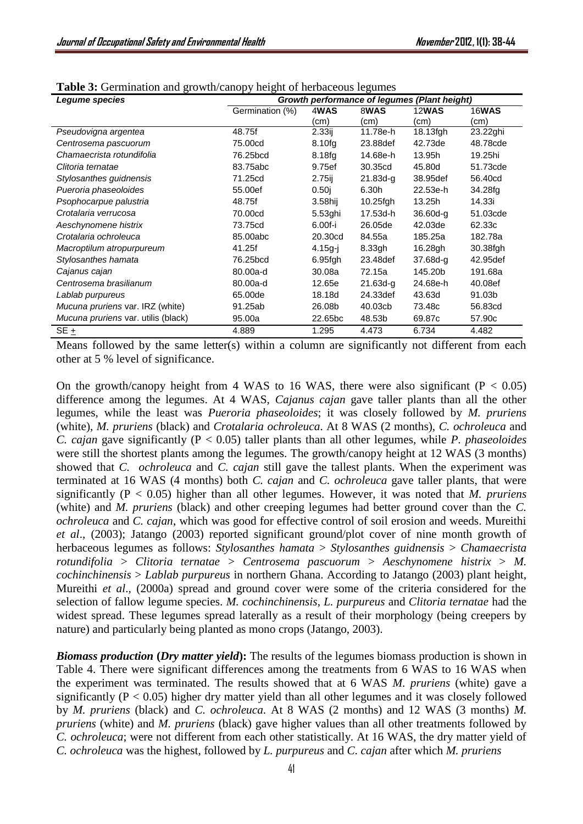| Legume species                      | Growth performance of legumes (Plant height) |             |              |              |              |
|-------------------------------------|----------------------------------------------|-------------|--------------|--------------|--------------|
|                                     | Germination (%)                              | 4WAS        | 8WAS         | <b>12WAS</b> | <b>16WAS</b> |
|                                     |                                              | (cm)        | (cm)         | (cm)         | (cm)         |
| Pseudovigna argentea                | 48.75f                                       | 2.33i       | 11.78e-h     | 18.13fgh     | 23.22ghi     |
| Centrosema pascuorum                | 75,00cd                                      | 8.10fg      | 23.88def     | 42.73de      | 48.78cde     |
| Chamaecrista rotundifolia           | 76.25bcd                                     | 8.18fg      | 14.68e-h     | 13.95h       | 19.25hi      |
| Clitoria ternatae                   | 83.75abc                                     | 9.75ef      | 30.35cd      | 45.80d       | 51.73cde     |
| Stylosanthes guidnensis             | 71.25cd                                      | $2.75$ ij   | $21.83d-q$   | 38,95def     | 56.40cd      |
| Pueroria phaseoloides               | 55.00ef                                      | 0.50j       | 6.30h        | 22.53e-h     | 34.28fg      |
| Psophocarpue palustria              | 48.75f                                       | 3.58hij     | $10.25$ fgh  | 13.25h       | 14.33i       |
| Crotalaria verrucosa                | 70.00cd                                      | 5.53ghi     | 17.53d-h     | $36.60d - q$ | 51.03cde     |
| Aeschynomene histrix                | 73.75cd                                      | 6.00f-i     | 26.05de      | 42.03de      | 62.33c       |
| Crotalaria ochroleuca               | 85.00abc                                     | 20,30cd     | 84.55a       | 185.25a      | 182.78a      |
| Macroptilum atropurpureum           | 41.25f                                       | $4.15g - j$ | 8.33gh       | 16.28gh      | 30.38fgh     |
| Stylosanthes hamata                 | 76.25bcd                                     | 6.95fgh     | 23.48def     | 37.68d-g     | 42.95def     |
| Cajanus cajan                       | 80.00a-d                                     | 30.08a      | 72.15a       | 145.20b      | 191.68a      |
| Centrosema brasilianum              | 80.00a-d                                     | 12.65e      | $21.63d - q$ | 24.68e-h     | 40.08ef      |
| Lablab purpureus                    | 65,00de                                      | 18.18d      | 24.33def     | 43.63d       | 91.03b       |
| Mucuna pruriens var. IRZ (white)    | 91.25ab                                      | 26.08b      | 40.03cb      | 73.48c       | 56.83cd      |
| Mucuna pruriens var. utilis (black) | 95.00a                                       | 22.65bc     | 48.53b       | 69.87c       | 57.90c       |
| $SE +$                              | 4.889                                        | 1.295       | 4.473        | 6.734        | 4.482        |

| Table 3: Germination and growth/canopy height of herbaceous legumes |  |  |
|---------------------------------------------------------------------|--|--|
|---------------------------------------------------------------------|--|--|

Means followed by the same letter(s) within a column are significantly not different from each other at 5 % level of significance.

On the growth/canopy height from 4 WAS to 16 WAS, there were also significant ( $P < 0.05$ ) difference among the legumes. At 4 WAS, *Cajanus cajan* gave taller plants than all the other legumes, while the least was *Pueroria phaseoloides*; it was closely followed by *M. pruriens* (white), *M. pruriens* (black) and *Crotalaria ochroleuca*. At 8 WAS (2 months), *C. ochroleuca* and *C. cajan* gave significantly (P < 0.05) taller plants than all other legumes, while *P. phaseoloides* were still the shortest plants among the legumes. The growth/canopy height at 12 WAS (3 months) showed that *C. ochroleuca* and *C. cajan* still gave the tallest plants. When the experiment was terminated at 16 WAS (4 months) both *C. cajan* and *C. ochroleuca* gave taller plants, that were significantly (P < 0.05) higher than all other legumes. However, it was noted that *M. pruriens* (white) and *M. pruriens* (black) and other creeping legumes had better ground cover than the *C. ochroleuca* and *C. cajan*, which was good for effective control of soil erosion and weeds. Mureithi *et al*., (2003); Jatango (2003) reported significant ground/plot cover of nine month growth of herbaceous legumes as follows: *Stylosanthes hamata* > *Stylosanthes guidnensis* > *Chamaecrista rotundifolia* > *Clitoria ternatae* > *Centrosema pascuorum* > *Aeschynomene histrix* > *M. cochinchinensis* > *Lablab purpureus* in northern Ghana. According to Jatango (2003) plant height, Mureithi *et al*., (2000a) spread and ground cover were some of the criteria considered for the selection of fallow legume species. *M. cochinchinensis*, *L. purpureus* and *Clitoria ternatae* had the widest spread. These legumes spread laterally as a result of their morphology (being creepers by nature) and particularly being planted as mono crops (Jatango, 2003).

*Biomass production* **(***Dry matter yield***):** The results of the legumes biomass production is shown in Table 4. There were significant differences among the treatments from 6 WAS to 16 WAS when the experiment was terminated. The results showed that at 6 WAS *M. pruriens* (white) gave a significantly ( $P < 0.05$ ) higher dry matter yield than all other legumes and it was closely followed by *M. pruriens* (black) and *C. ochroleuca*. At 8 WAS (2 months) and 12 WAS (3 months) *M. pruriens* (white) and *M. pruriens* (black) gave higher values than all other treatments followed by *C. ochroleuca*; were not different from each other statistically. At 16 WAS, the dry matter yield of *C. ochroleuca* was the highest, followed by *L. purpureus* and *C. cajan* after which *M. pruriens*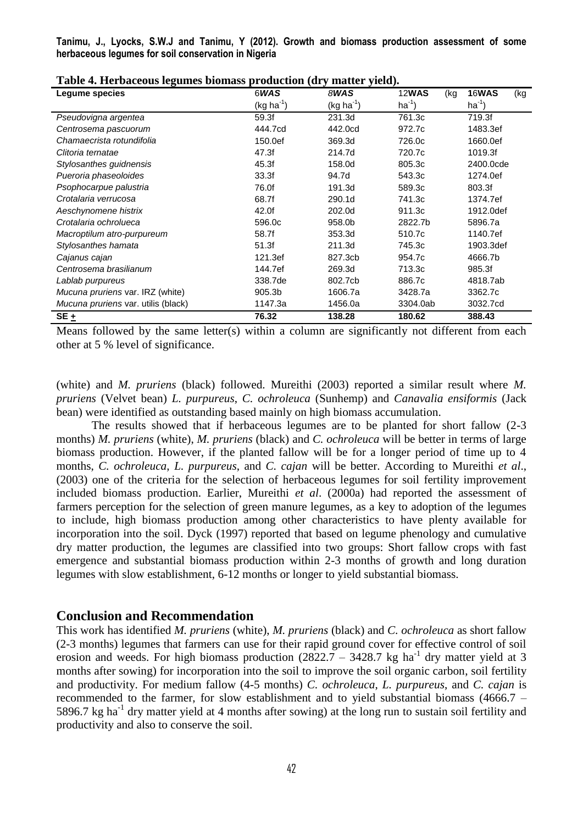**Tanimu, J., Lyocks, S.W.J and Tanimu, Y (2012). Growth and biomass production assessment of some herbaceous legumes for soil conservation in Nigeria**

| "The pace oup regulated bronnadd    | $P1$ outletten $\{u_1, u_2, u_3, u_4, u_5, u_6, u_7, u_8, u_9, u_1, u_2, u_3, u_4, u_5, u_6, u_7, u_8, u_9, u_1, u_2, u_3, u_4, u_7, u_8, u_9, u_1, u_2, u_3, u_4, u_7, u_8, u_9, u_1, u_2, u_3, u_4, u_5, u_6, u_7, u_8, u_9, u_1, u_2, u_3, u_4, u_5, u_6, u_7, u_8, u_9, u_1$ |                |                     |              |
|-------------------------------------|----------------------------------------------------------------------------------------------------------------------------------------------------------------------------------------------------------------------------------------------------------------------------------|----------------|---------------------|--------------|
| Legume species                      | 6WAS                                                                                                                                                                                                                                                                             | 8WAS           | <b>12WAS</b><br>(kg | 16WAS<br>(kg |
|                                     | $(kg ha^{-1})$                                                                                                                                                                                                                                                                   | $(kg ha^{-1})$ | $ha^{-1}$ )         | $ha^{-1}$    |
| Pseudovigna argentea                | 59.3f                                                                                                                                                                                                                                                                            | 231.3d         | 761.3c              | 719.3f       |
| Centrosema pascuorum                | 444.7cd                                                                                                                                                                                                                                                                          | 442.0cd        | 972.7c              | 1483.3ef     |
| Chamaecrista rotundifolia           | 150.0ef                                                                                                                                                                                                                                                                          | 369.3d         | 726.0c              | 1660.0ef     |
| Clitoria ternatae                   | 47.3f                                                                                                                                                                                                                                                                            | 214.7d         | 720.7c              | 1019.3f      |
| Stylosanthes guidnensis             | 45.3f                                                                                                                                                                                                                                                                            | 158.0d         | 805.3c              | 2400.0cde    |
| Pueroria phaseoloides               | 33.3f                                                                                                                                                                                                                                                                            | 94.7d          | 543.3c              | 1274.0ef     |
| Psophocarpue palustria              | 76.0f                                                                                                                                                                                                                                                                            | 191.3d         | 589.3c              | 803.3f       |
| Crotalaria verrucosa                | 68.7f                                                                                                                                                                                                                                                                            | 290.1d         | 741.3c              | 1374.7ef     |
| Aeschynomene histrix                | 42.0f                                                                                                                                                                                                                                                                            | 202.0d         | 911.3c              | 1912.0def    |
| Crotalaria ochrolueca               | 596.0c                                                                                                                                                                                                                                                                           | 958.0b         | 2822.7b             | 5896.7a      |
| Macroptilum atro-purpureum          | 58.7f                                                                                                                                                                                                                                                                            | 353.3d         | 510.7c              | 1140.7ef     |
| Stylosanthes hamata                 | 51.3f                                                                                                                                                                                                                                                                            | 211.3d         | 745.3c              | 1903.3def    |
| Cajanus cajan                       | 121.3ef                                                                                                                                                                                                                                                                          | 827.3cb        | 954.7c              | 4666.7b      |
| Centrosema brasilianum              | 144.7ef                                                                                                                                                                                                                                                                          | 269.3d         | 713.3c              | 985.3f       |
| Lablab purpureus                    | 338.7de                                                                                                                                                                                                                                                                          | 802.7cb        | 886.7c              | 4818.7ab     |
| Mucuna pruriens var. IRZ (white)    | 905.3b                                                                                                                                                                                                                                                                           | 1606.7a        | 3428.7a             | 3362.7c      |
| Mucuna pruriens var. utilis (black) | 1147.3a                                                                                                                                                                                                                                                                          | 1456.0a        | 3304.0ab            | 3032.7cd     |
| SE+                                 | 76.32                                                                                                                                                                                                                                                                            | 138.28         | 180.62              | 388.43       |

**Table 4. Herbaceous legumes biomass production (dry matter yield).**

Means followed by the same letter(s) within a column are significantly not different from each other at 5 % level of significance.

(white) and *M. pruriens* (black) followed. Mureithi (2003) reported a similar result where *M. pruriens* (Velvet bean) *L. purpureus*, *C. ochroleuca* (Sunhemp) and *Canavalia ensiformis* (Jack bean) were identified as outstanding based mainly on high biomass accumulation.

The results showed that if herbaceous legumes are to be planted for short fallow (2-3 months) *M. pruriens* (white), *M. pruriens* (black) and *C. ochroleuca* will be better in terms of large biomass production. However, if the planted fallow will be for a longer period of time up to 4 months, *C. ochroleuca*, *L. purpureus*, and *C. cajan* will be better. According to Mureithi *et al*., (2003) one of the criteria for the selection of herbaceous legumes for soil fertility improvement included biomass production. Earlier, Mureithi *et al*. (2000a) had reported the assessment of farmers perception for the selection of green manure legumes, as a key to adoption of the legumes to include, high biomass production among other characteristics to have plenty available for incorporation into the soil. Dyck (1997) reported that based on legume phenology and cumulative dry matter production, the legumes are classified into two groups: Short fallow crops with fast emergence and substantial biomass production within 2-3 months of growth and long duration legumes with slow establishment, 6-12 months or longer to yield substantial biomass.

# **Conclusion and Recommendation**

This work has identified *M. pruriens* (white), *M. pruriens* (black) and *C. ochroleuca* as short fallow (2-3 months) legumes that farmers can use for their rapid ground cover for effective control of soil erosion and weeds. For high biomass production  $(2822.7 - 3428.7 \text{ kg ha}^{-1})$  dry matter yield at 3 months after sowing) for incorporation into the soil to improve the soil organic carbon, soil fertility and productivity. For medium fallow (4-5 months) *C. ochroleuca*, *L. purpureus*, and *C. cajan* is recommended to the farmer, for slow establishment and to yield substantial biomass (4666.7 – 5896.7 kg ha<sup>-1</sup> dry matter yield at 4 months after sowing) at the long run to sustain soil fertility and productivity and also to conserve the soil.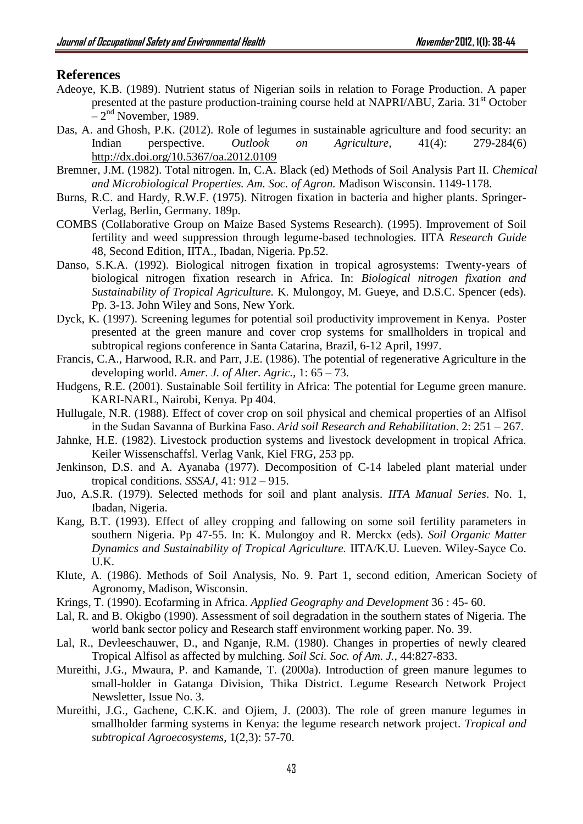# **References**

- Adeoye, K.B. (1989). Nutrient status of Nigerian soils in relation to Forage Production. A paper presented at the pasture production-training course held at NAPRI/ABU, Zaria. 31<sup>st</sup> October  $-2<sup>nd</sup>$  November, 1989.
- Das, A. and Ghosh, P.K. (2012). Role of legumes in sustainable agriculture and food security: an Indian perspective. *Outlook on Agriculture,* 41(4): 279-284(6) <http://dx.doi.org/10.5367/oa.2012.0109>
- Bremner, J.M. (1982). Total nitrogen. In, C.A. Black (ed) Methods of Soil Analysis Part II. *Chemical and Microbiological Properties. Am. Soc. of Agron.* Madison Wisconsin. 1149-1178.
- Burns, R.C. and Hardy, R.W.F. (1975). Nitrogen fixation in bacteria and higher plants. Springer-Verlag, Berlin, Germany. 189p.
- COMBS (Collaborative Group on Maize Based Systems Research). (1995). Improvement of Soil fertility and weed suppression through legume-based technologies. IITA *Research Guide* 48, Second Edition, IITA., Ibadan, Nigeria. Pp.52.
- Danso, S.K.A. (1992). Biological nitrogen fixation in tropical agrosystems: Twenty-years of biological nitrogen fixation research in Africa. In: *Biological nitrogen fixation and Sustainability of Tropical Agriculture.* K. Mulongoy, M. Gueye, and D.S.C. Spencer (eds). Pp. 3-13. John Wiley and Sons, New York.
- Dyck, K. (1997). Screening legumes for potential soil productivity improvement in Kenya. Poster presented at the green manure and cover crop systems for smallholders in tropical and subtropical regions conference in Santa Catarina, Brazil, 6-12 April, 1997.
- Francis, C.A., Harwood, R.R. and Parr, J.E. (1986). The potential of regenerative Agriculture in the developing world. *Amer. J. of Alter. Agric.,* 1: 65 – 73.
- Hudgens, R.E. (2001). Sustainable Soil fertility in Africa: The potential for Legume green manure. KARI-NARL, Nairobi, Kenya. Pp 404.
- Hullugale, N.R. (1988). Effect of cover crop on soil physical and chemical properties of an Alfisol in the Sudan Savanna of Burkina Faso. *Arid soil Research and Rehabilitation*. 2: 251 – 267.
- Jahnke, H.E. (1982). Livestock production systems and livestock development in tropical Africa. Keiler Wissenschaffsl. Verlag Vank, Kiel FRG, 253 pp.
- Jenkinson, D.S. and A. Ayanaba (1977). Decomposition of C-14 labeled plant material under tropical conditions. *SSSAJ,* 41: 912 – 915.
- Juo, A.S.R. (1979). Selected methods for soil and plant analysis. *IITA Manual Series*. No. 1, Ibadan, Nigeria.
- Kang, B.T. (1993). Effect of alley cropping and fallowing on some soil fertility parameters in southern Nigeria. Pp 47-55. In: K. Mulongoy and R. Merckx (eds). *Soil Organic Matter Dynamics and Sustainability of Tropical Agriculture.* IITA/K.U. Lueven. Wiley-Sayce Co. U.K.
- Klute, A. (1986). Methods of Soil Analysis, No. 9. Part 1, second edition, American Society of Agronomy, Madison, Wisconsin.
- Krings, T. (1990). Ecofarming in Africa. *Applied Geography and Development* 36 : 45- 60.
- Lal, R. and B. Okigbo (1990). Assessment of soil degradation in the southern states of Nigeria. The world bank sector policy and Research staff environment working paper. No. 39.
- Lal, R., Devleeschauwer, D., and Nganje, R.M. (1980). Changes in properties of newly cleared Tropical Alfisol as affected by mulching. *Soil Sci. Soc. of Am. J.*, 44:827-833.
- Mureithi, J.G., Mwaura, P. and Kamande, T. (2000a). Introduction of green manure legumes to small-holder in Gatanga Division, Thika District. Legume Research Network Project Newsletter, Issue No. 3.
- Mureithi, J.G., Gachene, C.K.K. and Ojiem, J. (2003). The role of green manure legumes in smallholder farming systems in Kenya: the legume research network project. *Tropical and subtropical Agroecosystems*, 1(2,3): 57-70.